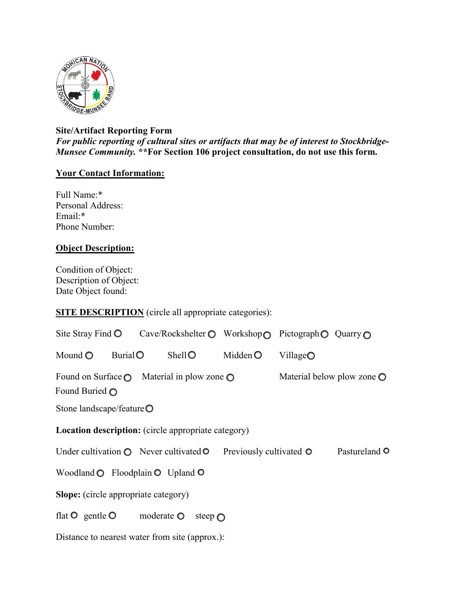

## **Site/Artifact Reporting Form** *For public reporting of cultural sites or artifacts that may be of interest to Stockbridge-Munsee Community.* **\*\*For Section 106 project consultation, do not use this form.**

## **Your Contact Information:**

Full Name:\* Personal Address: Email:\* Phone Number:

## **Object Description:**

Condition of Object: Description of Object: Date Object found:

## **SITE DESCRIPTION** (circle all appropriate categories):

|                                                                                                                                |        | Site Stray Find O Cave/Rockshelter O Workshop O Pictograph O Quarry O |        |                                 |                    |                       |
|--------------------------------------------------------------------------------------------------------------------------------|--------|-----------------------------------------------------------------------|--------|---------------------------------|--------------------|-----------------------|
| Mound $\bigcirc$                                                                                                               | Burial |                                                                       | ShellO | Midden $\odot$                  | Village $\bigcirc$ |                       |
| Found on Surface $\bigcirc$ Material in plow zone $\bigcirc$<br>Material below plow zone $\bigcirc$<br>Found Buried $\bigcirc$ |        |                                                                       |        |                                 |                    |                       |
| Stone landscape/feature $\bigcirc$                                                                                             |        |                                                                       |        |                                 |                    |                       |
| <b>Location description:</b> (circle appropriate category)                                                                     |        |                                                                       |        |                                 |                    |                       |
| Under cultivation $\bigcirc$ Never cultivated $\circ$                                                                          |        |                                                                       |        | Previously cultivated $\bullet$ |                    | Pastureland $\bullet$ |
| Woodland $\bigcirc$ Floodplain $\bigcirc$ Upland $\bigcirc$                                                                    |        |                                                                       |        |                                 |                    |                       |
| <b>Slope:</b> (circle appropriate category)                                                                                    |        |                                                                       |        |                                 |                    |                       |
| flat $\bullet$ gentle $\bullet$<br>moderate $\odot$<br>steep $\bigcap$                                                         |        |                                                                       |        |                                 |                    |                       |
| Distance to nearest water from site (approx.):                                                                                 |        |                                                                       |        |                                 |                    |                       |